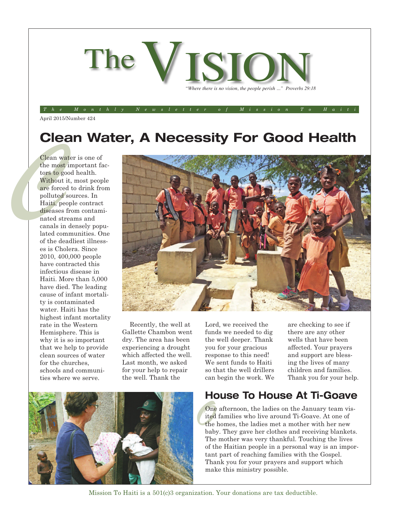

#### The Monthly Newsletter of Mission To Haiti

April 2015/Number 424

## **Clean Water, A Necessity For Good Health**

Clean with most<br>tors to go<br>without are force<br>without are force<br>polluted Haiti, pe<br>diseases<br>nated strangles canals in Clean water is one of the most important factors to good health. Without it, most people are forced to drink from polluted sources. In Haiti, people contract diseases from contaminated streams and canals in densely populated communities. One of the deadliest illnesses is Cholera. Since 2010, 400,000 people have contracted this infectious disease in Haiti. More than 5,000 have died. The leading cause of infant mortality is contaminated water. Haiti has the highest infant mortality rate in the Western Hemisphere. This is why it is so important that we help to provide clean sources of water for the churches, schools and communities where we serve.



Recently, the well at Gallette Chambon went dry. The area has been experiencing a drought which affected the well. Last month, we asked for your help to repair the well. Thank the

Lord, we received the funds we needed to dig the well deeper. Thank you for your gracious response to this need! We sent funds to Haiti so that the well drillers can begin the work. We are checking to see if there are any other wells that have been affected. Your prayers and support are blessing the lives of many children and families. Thank you for your help.

### **House To House At Ti-Goave**

One afternoon, the ladies on the January team visited families who live around Ti-Goave. At one of the homes, the ladies met a mother with her new baby. They gave her clothes and receiving blankets. One afternoon, the ladies on the January team visited families who live around Ti-Goave. At one of the homes, the ladies met a mother with her new The mother was very thankful. Touching the lives of the Haitian people in a personal way is an important part of reaching families with the Gospel. Thank you for your prayers and support which make this ministry possible.



Mission To Haiti is a 501(c)3 organization. Your donations are tax deductible.